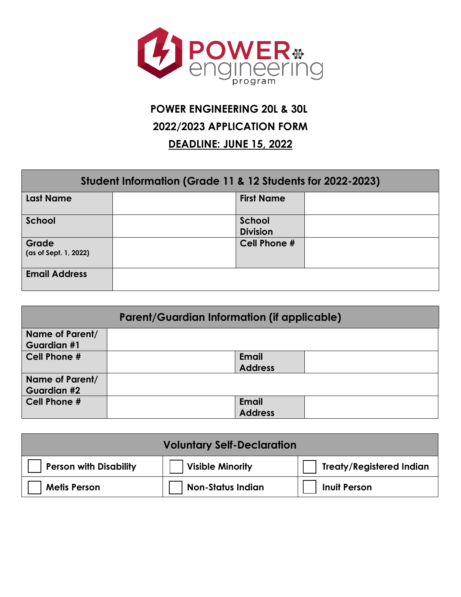

# **POWER ENGINEERING 20L & 30L 2022/2023 APPLICATION FORM DEADLINE: JUNE 15, 2022**

| Student Information (Grade 11 & 12 Students for 2022-2023) |  |                           |  |  |
|------------------------------------------------------------|--|---------------------------|--|--|
| <b>Last Name</b>                                           |  | <b>First Name</b>         |  |  |
| School                                                     |  | School<br><b>Division</b> |  |  |
| Grade<br>(as of Sept. 1, 2022)                             |  | <b>Cell Phone #</b>       |  |  |
| <b>Email Address</b>                                       |  |                           |  |  |

| <b>Parent/Guardian Information (if applicable)</b> |  |                                |  |
|----------------------------------------------------|--|--------------------------------|--|
| Name of Parent/<br><b>Guardian #1</b>              |  |                                |  |
| Cell Phone #                                       |  | <b>Email</b><br><b>Address</b> |  |
| Name of Parent/<br>Guardian #2                     |  |                                |  |
| Cell Phone #                                       |  | <b>Email</b><br><b>Address</b> |  |

| <b>Voluntary Self-Declaration</b> |                          |                                 |
|-----------------------------------|--------------------------|---------------------------------|
| <b>Person with Disability</b>     | <b>Visible Minority</b>  | <b>Treaty/Registered Indian</b> |
| <b>Metis Person</b>               | <b>Non-Status Indian</b> | <b>Inuit Person</b>             |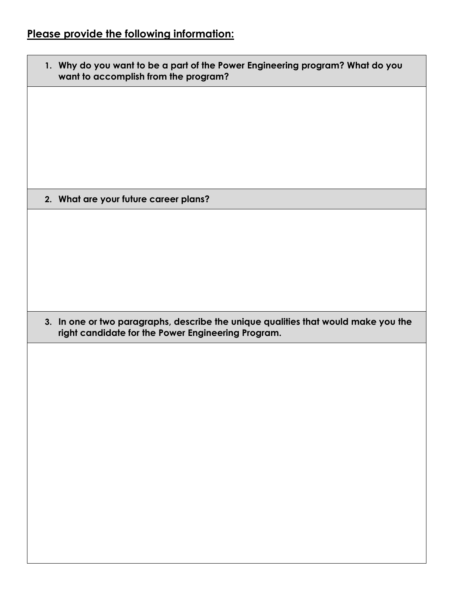## **Please provide the following information:**

| 1. Why do you want to be a part of the Power Engineering program? What do you<br>want to accomplish from the program?                    |
|------------------------------------------------------------------------------------------------------------------------------------------|
|                                                                                                                                          |
|                                                                                                                                          |
|                                                                                                                                          |
|                                                                                                                                          |
| 2. What are your future career plans?                                                                                                    |
|                                                                                                                                          |
|                                                                                                                                          |
|                                                                                                                                          |
|                                                                                                                                          |
|                                                                                                                                          |
| 3. In one or two paragraphs, describe the unique qualities that would make you the<br>right candidate for the Power Engineering Program. |
|                                                                                                                                          |
|                                                                                                                                          |
|                                                                                                                                          |
|                                                                                                                                          |
|                                                                                                                                          |
|                                                                                                                                          |
|                                                                                                                                          |
|                                                                                                                                          |
|                                                                                                                                          |